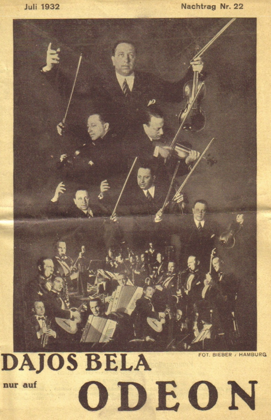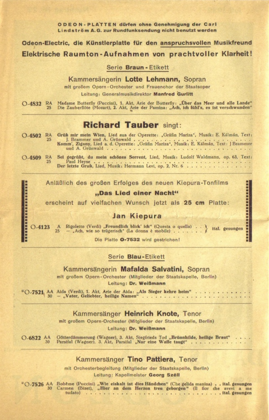**O D E O N - PLATTEN dürfen ohne Genehmigung der Carl Lindström A.G. zur Rundfunksendung nicht benutzt werden** 

**Odeon-Electric, die Künstlerplatte für den anspruchsvollen Musikfreund Elektrische Raumton-Aufnahmen von prachtvoller Klarheit!** 

S erie **Braun** - Etikett

Kammersängerin Lotte Lehmann, Sopran

mit großem Opern - Orchester und Frauenchor der Staatsoper

Leitung: Generalmusikdirektor Manfred Gurlitt

O-4832 RA Madame Butterfly (Puccini), 1. Akt. Arie der Butterfly: "Über das Meer und alle Lande"<br>25 Die Zauberflöte (Mozart), 2. Akt. Arie der Pamina: "Ach, ich fühl's, es ist verschwunden"

## **Richard Tauber** singt:

O-4502 RA Grüß mir mein Wien, Lied aus der Operette: "Gräfin Mariza", Musik: E. Kalman, Text<br>J. Brammer und A. Grünwald<br>Komm', Zigany, Lied a.d. Operette: "Gräfin Mariza", Musik: E. Kalman, Text: J Brammer<br>und A. Grünwald

O - 450 9 RA Sei gegrüß t, du mein schönes Sorrent, Lied, Musik: Ludolf W aldmann, op. 63, Text: 25 Paul H e y s e **Der** letzte **Gruß,** Lied, Musik: H erm ann Levi, op. **2,** Nr. 6

Anläßlich des großen Erfolges des neuen Kiepura-Tonfilms

#### **" D as L ied e in e r N a ch t"**

erscheint auf vielfachen Wunsch jetzt als 25 cm Platte:

#### **Jan Kiepura**

医胃胃性贫血 医第三氏征 医第三十四 医第三  $\begin{bmatrix} \text{A} \text{max} \\ \text{ersch} \\ \text{O-4123} \\ \text{A} \end{bmatrix}$ Rigoletto (Verdi) "Freundlich blick' ich" (Questa o quella)  $\ldots$  ital. gesungen  $-$  Ach, wie so trügerisch" (La donna è mobile)  $\ldots$ 

Die Platte **O-7532** wird gestrichen!

#### S erie **Blau**-Etikett

#### Kammersängerin Mafalda Salvatini, Sopran

mit großem Opern-Orchester (Mitglieder der Staatskapelle, Berlin) **Leitung: Dr. Weißmann** 

\* O - 752 1 AA 30 **—** "V ater, Geliebter, heilige Namen" ............................................................

Kammersänger Heinrich Knote, Tenor

mit großem Opern-Orchester (Mitglieder der Staatskapelle, Berlin)

Leitung: Dr. Weißmann

O - 6822 AA Götterdämmerung (Wagner), 3. Akt, Siegfrieds Tod "Brünnhilde, heilige Braut"<br>30 Parsifal (Wagner), 3. Akt, Parsifal "Nur eine Waffe taugt"

#### Kammersänger Tino Pattiera, Tenor

mit Orchesterbegleitung (Mitglieder der Staatskapelle, Berlin) Leitung: Kapellmeister Georg Széll

\* O - 752 6 AA Boheme (Puccini) "W ie eiskalt ist dies Händchen" (Che gelida manina) ital. gesungen 30 Carm en (Bizet), " Hier an dem Herzen treu geborgen" (I l fior che avevi a me tudato)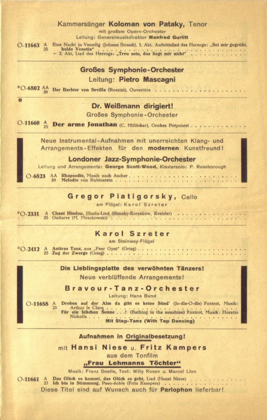#### Kammersänger Koloman von Pataky, Tenor

mit großem Opern-Orchester Leitung: Generalmusikdirektor Manfred Gurlitt Eine Nacht in Venedig (Johann Strauß), 1. Akt, Auftrittslied des Herzogs: "Sei mir gegrüßt, holde Venetia"

holde Venetia"<br>- 2. Akt, Lied des Herzogs: "Treu sein, das liegt mir nicht"

### **Großes Symphonie-Orchester** Leitung: **Pietro Mascagni**

 $*$  O-6802 AA Der Barbier von Sevilla (Rossini), Ouvertüre . . . . . . . . . . .

#### **Dr. Weißmann dirigiert!**

Großes Symphonie-Orchester

O-11660 A Der arme Jonathan (C. Millöcker), Großes Potpourri

Neue Instrumental-Aufnahmen mit unerreichten Klang- und Arrangements - Effekten für den modernen Kunstfreund!

#### **Londoner Jazz-Symphonie-Orchester**

Leitung und Arrangements: George Scott-Wood, Klaviersolo: P. Rossborough

O - 6823 AA Rhapsodie, Musik nach Ascher... Melodie von Rubinstein.

 $O-11663$   $^{A}_{25}$ 

#### Gregor Piatigorsky, Cello

am Flügel: Karol Szreter

\*O - 2331 A Chant Hindou, Hindu-Lied (Rimsky-Korsakow, Kreisler)<br>25 Guitarre (M. Moszkowski)

#### **Karol Szreter**

am Steinway-Flügel

 $*$ O - 2412 A Anitras Tanz, aus "Peer Gynt" (Grieg)<br>25 Zug der Zwerge (Grieg)

#### **Die Lieblingsplatte des verwöhnten Tänzers!**

Neue verblüffende Arrangements!

**Bravour-Tanz-Orchester**

Leitung: Hans Bund

 $O-11658$  A Droben auf der Alm da gibt es keine Sünd' (Jo-die-O-die) Foxtrot, Musik:<br>Arthur le Clarq<br>Für ein bißchen Sonne . . . . (Bathing in the sunshine) Foxtrot, Musik: Horatio Nicholls. **Mit Step-Tanz (With Tap Dancing)** 

#### **Aufnahmen in Originalbesetzung!**

m it **Hansi Niese** u . **Fritz Kam pers** aus dem Tonfilm

"Frau Lehmanns Töchter"

Musik: Franz Doelle, Text: Willy Rosen u. Marcel Lion

 $O-11661$  $\frac{A}{25}$ Das Glück es kommt, das Glück es geht, Lied (Hansi Niese)<br>Ich bin in Stimmung, Paso-doble (Fritz Kampers) Diese Titel sind auf Wunsch auch für Parlophon lieferbar!